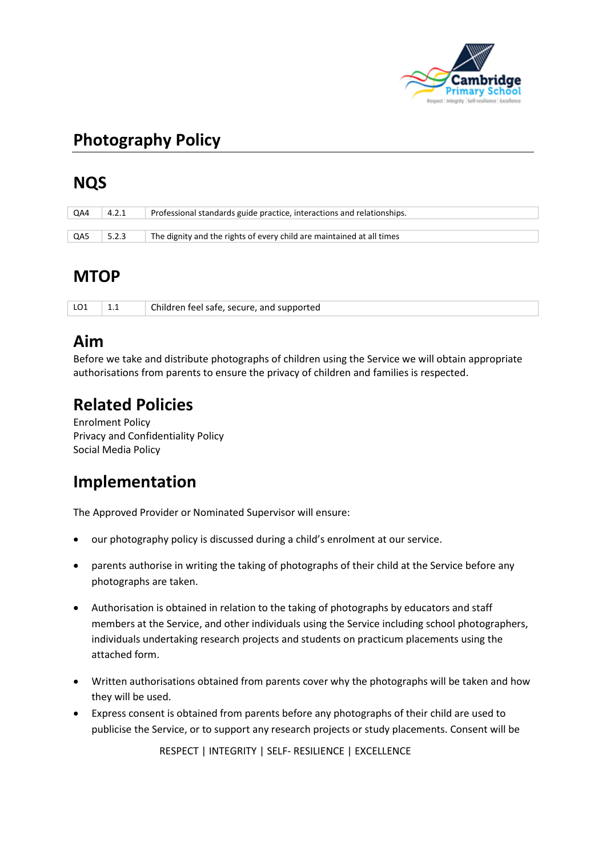

# **Photography Policy**

## **NQS**

| QA4 | 4.2.1 | Professional standards guide practice, interactions and relationships. |
|-----|-------|------------------------------------------------------------------------|
|     |       |                                                                        |
| QA5 | 5.2.3 | The dignity and the rights of every child are maintained at all times  |

#### **MTOP**

|  | 1.1 | Children feel safe, secure, and supported |  |
|--|-----|-------------------------------------------|--|
|--|-----|-------------------------------------------|--|

#### **Aim**

Before we take and distribute photographs of children using the Service we will obtain appropriate authorisations from parents to ensure the privacy of children and families is respected.

## **Related Policies**

Enrolment Policy Privacy and Confidentiality Policy Social Media Policy

### **Implementation**

The Approved Provider or Nominated Supervisor will ensure:

- our photography policy is discussed during a child's enrolment at our service.
- parents authorise in writing the taking of photographs of their child at the Service before any photographs are taken.
- Authorisation is obtained in relation to the taking of photographs by educators and staff members at the Service, and other individuals using the Service including school photographers, individuals undertaking research projects and students on practicum placements using the attached form.
- Written authorisations obtained from parents cover why the photographs will be taken and how they will be used.
- Express consent is obtained from parents before any photographs of their child are used to publicise the Service, or to support any research projects or study placements. Consent will be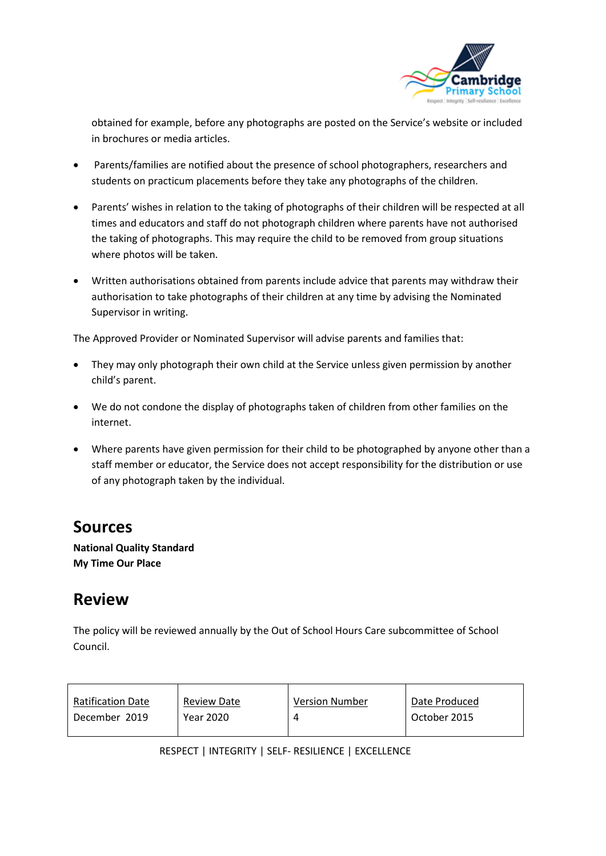

obtained for example, before any photographs are posted on the Service's website or included in brochures or media articles.

- Parents/families are notified about the presence of school photographers, researchers and students on practicum placements before they take any photographs of the children.
- Parents' wishes in relation to the taking of photographs of their children will be respected at all times and educators and staff do not photograph children where parents have not authorised the taking of photographs. This may require the child to be removed from group situations where photos will be taken.
- Written authorisations obtained from parents include advice that parents may withdraw their authorisation to take photographs of their children at any time by advising the Nominated Supervisor in writing.

The Approved Provider or Nominated Supervisor will advise parents and families that:

- They may only photograph their own child at the Service unless given permission by another child's parent.
- We do not condone the display of photographs taken of children from other families on the internet.
- Where parents have given permission for their child to be photographed by anyone other than a staff member or educator, the Service does not accept responsibility for the distribution or use of any photograph taken by the individual.

### **Sources**

**National Quality Standard My Time Our Place**

### **Review**

The policy will be reviewed annually by the Out of School Hours Care subcommittee of School Council.

| <b>Ratification Date</b> | <b>Review Date</b> | <b>Version Number</b> | Date Produced |
|--------------------------|--------------------|-----------------------|---------------|
| December 2019            | Year 2020          |                       | October 2015  |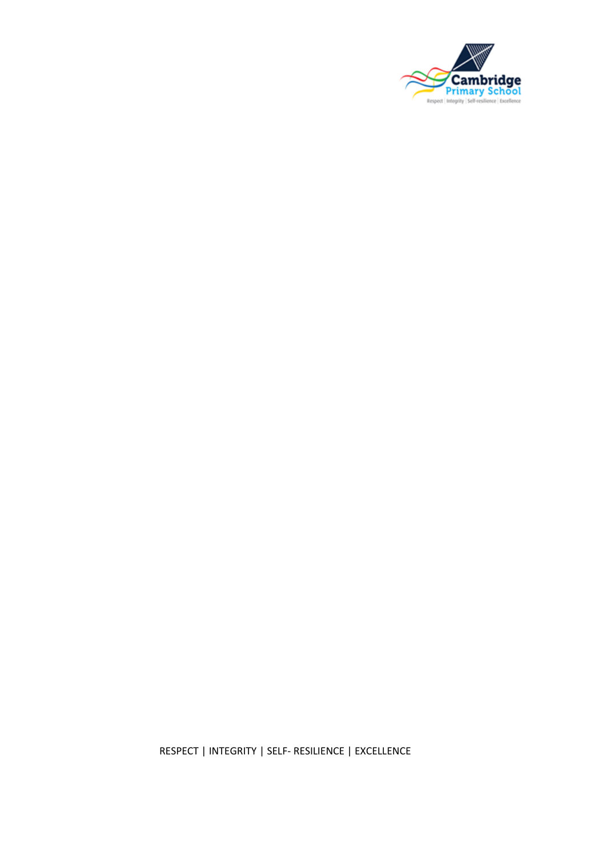